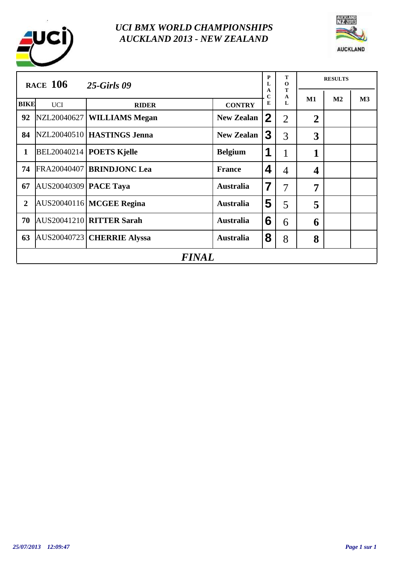



|                | <b>RACE 106</b>              | <b>25-Girls 09</b>                |                   | P<br>L           | т<br>$\mathbf{o}$ |                | <b>RESULTS</b> |    |
|----------------|------------------------------|-----------------------------------|-------------------|------------------|-------------------|----------------|----------------|----|
|                |                              |                                   |                   | A<br>$\mathbf C$ | Т<br>A<br>L       | M1             | M <sub>2</sub> | M3 |
| <b>BIKE</b>    | <b>UCI</b>                   | <b>RIDER</b>                      | <b>CONTRY</b>     | E                |                   |                |                |    |
| 92             |                              | NZL20040627   WILLIAMS Megan      | <b>New Zealan</b> | $\mathbf 2$      | $\overline{2}$    | $\overline{2}$ |                |    |
| 84             |                              | NZL20040510   HASTINGS Jenna      | <b>New Zealan</b> | 3                | 3                 | 3              |                |    |
| $\mathbf{1}$   |                              | <b>BEL20040214   POETS Kjelle</b> | <b>Belgium</b>    | 1                | 1                 | $\mathbf{1}$   |                |    |
| 74             |                              | FRA20040407 BRINDJONC Lea         | <b>France</b>     | 4                | 4                 | 4              |                |    |
| 67             | <b>AUS20040309 PACE Taya</b> |                                   | <b>Australia</b>  | 7                | 7                 | 7              |                |    |
| $\overline{2}$ |                              | AUS20040116 MCGEE Regina          | <b>Australia</b>  | 5                | 5                 | 5              |                |    |
| 70             |                              | AUS20041210 RITTER Sarah          | <b>Australia</b>  | 6                | 6                 | 6              |                |    |
| 63             |                              | AUS20040723 CHERRIE Alyssa        | <b>Australia</b>  | 8                | 8                 | 8              |                |    |
|                | <b>FINAL</b>                 |                                   |                   |                  |                   |                |                |    |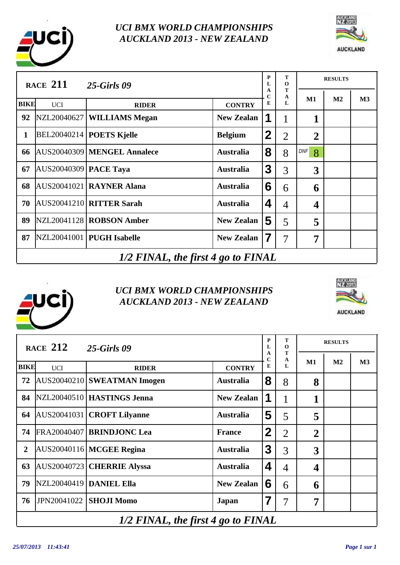



|              | <b>RACE 211</b>                    | $25-Girls$ 09                     |                   | P<br>L      | т<br>$\mathbf 0$ |                         | <b>RESULTS</b> |    |  |
|--------------|------------------------------------|-----------------------------------|-------------------|-------------|------------------|-------------------------|----------------|----|--|
| <b>BIKE</b>  | <b>UCI</b>                         | <b>RIDER</b>                      | <b>CONTRY</b>     | A<br>C<br>E | T<br>A<br>L      | M1                      | M <sub>2</sub> | M3 |  |
| 92           |                                    | NZL20040627   WILLIAMS Megan      | <b>New Zealan</b> | 1           | 1                | 1                       |                |    |  |
| $\mathbf{1}$ |                                    | <b>BEL20040214   POETS Kjelle</b> | <b>Belgium</b>    | $\mathbf 2$ | $\overline{2}$   | $\overline{2}$          |                |    |  |
| 66           |                                    | AUS20040309 MENGEL Annalece       | <b>Australia</b>  | 8           | 8                | DNF<br>8                |                |    |  |
| 67           | <b>AUS20040309 PACE Taya</b>       |                                   | <b>Australia</b>  | 3           | 3                | 3                       |                |    |  |
| 68           |                                    | AUS20041021   RAYNER Alana        | <b>Australia</b>  | 6           | 6                | 6                       |                |    |  |
| 70           |                                    | AUS20041210 RITTER Sarah          | <b>Australia</b>  | 4           | $\overline{4}$   | $\overline{\mathbf{4}}$ |                |    |  |
| 89           |                                    | NZL20041128   ROBSON Amber        | <b>New Zealan</b> | 5           | 5                | 5                       |                |    |  |
| 87           |                                    | NZL20041001   PUGH Isabelle       | <b>New Zealan</b> | 7           | $\overline{7}$   | 7                       |                |    |  |
|              | 1/2 FINAL, the first 4 go to FINAL |                                   |                   |             |                  |                         |                |    |  |





|                | RACE $212$                           | <b>25-Girls 09</b>           |                   | P<br>L      | T<br>$\mathbf 0$ |                | <b>RESULTS</b> |    |  |
|----------------|--------------------------------------|------------------------------|-------------------|-------------|------------------|----------------|----------------|----|--|
| <b>BIKE</b>    |                                      |                              |                   | A<br>C<br>E | T<br>A<br>L      | $\mathbf{M1}$  | $\mathbf{M2}$  | M3 |  |
|                | <b>UCI</b>                           | <b>RIDER</b>                 | <b>CONTRY</b>     |             |                  |                |                |    |  |
| 72             |                                      | AUS20040210 SWEATMAN Imogen  | <b>Australia</b>  | 8           | 8                | 8              |                |    |  |
| 84             |                                      | NZL20040510   HASTINGS Jenna | <b>New Zealan</b> | 1           | $\bf{l}$         | 1              |                |    |  |
| 64             | AUS20041031                          | <b>CROFT Lilyanne</b>        | <b>Australia</b>  | 5           | 5                | 5              |                |    |  |
| 74             |                                      | FRA20040407   BRINDJONC Lea  | <b>France</b>     | $\mathbf 2$ | $\overline{2}$   | $\overline{2}$ |                |    |  |
| $\overline{2}$ |                                      | AUS20040116 MCGEE Regina     | <b>Australia</b>  | 3           | 3                | 3              |                |    |  |
| 63             |                                      | AUS20040723 CHERRIE Alyssa   | <b>Australia</b>  | 4           | $\overline{4}$   | 4              |                |    |  |
| 79             | <b>NZL20040419 DANIEL Ella</b>       |                              | <b>New Zealan</b> | 6           | 6                | 6              |                |    |  |
| 76             | JPN20041022                          | <b>SHOJI Momo</b>            | Japan             | 7           | $\overline{7}$   | 7              |                |    |  |
|                | $1/2$ FINAL, the first 4 go to FINAL |                              |                   |             |                  |                |                |    |  |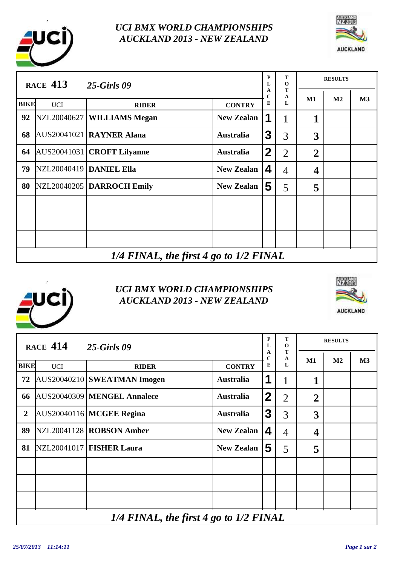



|             | <b>RACE 413</b>                             | <b>25-Girls 09</b>          |                   | P<br>L      | Т<br>$\mathbf 0$ |                         | <b>RESULTS</b> |    |  |
|-------------|---------------------------------------------|-----------------------------|-------------------|-------------|------------------|-------------------------|----------------|----|--|
| <b>BIKE</b> | <b>UCI</b>                                  | <b>RIDER</b>                | <b>CONTRY</b>     | A<br>C<br>E | T<br>A<br>L      | M1                      | M <sub>2</sub> | M3 |  |
| 92          |                                             | NZL20040627 WILLIAMS Megan  | <b>New Zealan</b> | 1           | 1                | 1                       |                |    |  |
| 68          |                                             | AUS20041021 RAYNER Alana    | <b>Australia</b>  | 3           | 3                | 3                       |                |    |  |
| 64          |                                             | AUS20041031 CROFT Lilyanne  | <b>Australia</b>  | $\mathbf 2$ | $\overline{2}$   | $\overline{2}$          |                |    |  |
| 79          |                                             | NZL20040419 DANIEL Ella     | <b>New Zealan</b> | 4           | $\overline{4}$   | $\overline{\mathbf{4}}$ |                |    |  |
| 80          |                                             | NZL20040205   DARROCH Emily | <b>New Zealan</b> | 5           | 5                | 5                       |                |    |  |
|             |                                             |                             |                   |             |                  |                         |                |    |  |
|             |                                             |                             |                   |             |                  |                         |                |    |  |
|             |                                             |                             |                   |             |                  |                         |                |    |  |
|             | $1/4$ FINAL, the first 4 go to $1/2$ FINAL. |                             |                   |             |                  |                         |                |    |  |

# *1/4 FINAL, the first 4 go to 1/2 FINAL*





|                | <b>RACE 414</b>                        | <b>25-Girls 09</b>          |                   | ${\bf P}$<br>$\mathbf{L}$ | T<br>$\mathbf 0$ |                | <b>RESULTS</b> |    |  |
|----------------|----------------------------------------|-----------------------------|-------------------|---------------------------|------------------|----------------|----------------|----|--|
| <b>BIKE</b>    | <b>UCI</b>                             | <b>RIDER</b>                | <b>CONTRY</b>     | A<br>$\mathbf C$<br>E     | T<br>A<br>L      | M1             | M <sub>2</sub> | M3 |  |
| 72             |                                        | AUS20040210 SWEATMAN Imogen | <b>Australia</b>  | 1                         | 1                | 1              |                |    |  |
| 66             |                                        | AUS20040309 MENGEL Annalece | <b>Australia</b>  | $\boldsymbol{2}$          | $\overline{2}$   | $\overline{2}$ |                |    |  |
| $\overline{2}$ |                                        | AUS20040116 MCGEE Regina    | <b>Australia</b>  | $\mathbf{3}$              | 3                | 3              |                |    |  |
| 89             |                                        | NZL20041128   ROBSON Amber  | <b>New Zealan</b> | $\overline{\mathbf{4}}$   | $\overline{4}$   | 4              |                |    |  |
| 81             |                                        | NZL20041017   FISHER Laura  | <b>New Zealan</b> | 5                         | 5                | 5              |                |    |  |
|                |                                        |                             |                   |                           |                  |                |                |    |  |
|                |                                        |                             |                   |                           |                  |                |                |    |  |
|                |                                        |                             |                   |                           |                  |                |                |    |  |
|                | 1/4 FINAL, the first 4 go to 1/2 FINAL |                             |                   |                           |                  |                |                |    |  |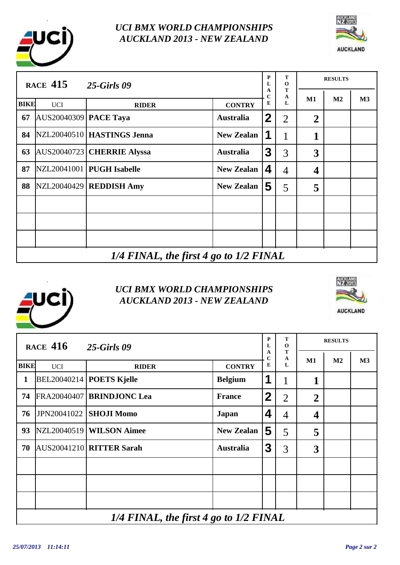



|             | <b>RACE 415</b>                            | <b>25-Girls 09</b>           |                   | P<br>L      | Т<br>$\mathbf 0$ |                  | <b>RESULTS</b> |    |  |
|-------------|--------------------------------------------|------------------------------|-------------------|-------------|------------------|------------------|----------------|----|--|
| <b>BIKE</b> | <b>UCI</b>                                 | <b>RIDER</b>                 | <b>CONTRY</b>     | А<br>C<br>E | T<br>A<br>L      | $\mathbf{M1}$    | $\mathbf{M2}$  | M3 |  |
| 67          | AUS20040309   PACE Taya                    |                              | <b>Australia</b>  | 2           | $\overline{2}$   | $\overline{2}$   |                |    |  |
| 84          |                                            | NZL20040510   HASTINGS Jenna | <b>New Zealan</b> | 1           |                  | 1                |                |    |  |
| 63          |                                            | AUS20040723 CHERRIE Alyssa   | <b>Australia</b>  | 3           | 3                | 3                |                |    |  |
| 87          |                                            | NZL20041001   PUGH Isabelle  | <b>New Zealan</b> | 4           | $\overline{4}$   | $\boldsymbol{4}$ |                |    |  |
| 88          |                                            | $NZL20040429$ REDDISH Amy    | <b>New Zealan</b> | 5           | 5                | 5                |                |    |  |
|             |                                            |                              |                   |             |                  |                  |                |    |  |
|             |                                            |                              |                   |             |                  |                  |                |    |  |
|             |                                            |                              |                   |             |                  |                  |                |    |  |
|             | $1/4$ FINAL, the first 4 go to $1/2$ FINAL |                              |                   |             |                  |                  |                |    |  |



|             | <b>RACE 416</b>                        | <b>25-Girls 09</b>                |                   | P<br>L                | T<br>$\mathbf 0$ |                | <b>RESULTS</b> |    |  |
|-------------|----------------------------------------|-----------------------------------|-------------------|-----------------------|------------------|----------------|----------------|----|--|
| <b>BIKE</b> | <b>UCI</b>                             | <b>RIDER</b>                      | <b>CONTRY</b>     | A<br>$\mathbf C$<br>E | T<br>A<br>L      | M1             | M <sub>2</sub> | M3 |  |
| 1           |                                        | $BEL20040214$ <b>POETS Kjelle</b> | <b>Belgium</b>    | 1                     | 1                | 1              |                |    |  |
| 74          |                                        | FRA20040407 BRINDJONC Lea         | <b>France</b>     | $\mathbf 2$           | $\overline{2}$   | $\overline{2}$ |                |    |  |
| 76          |                                        | <b>JPN20041022 SHOJI Momo</b>     | Japan             | 4                     | $\overline{4}$   | 4              |                |    |  |
| 93          |                                        | NZL20040519   WILSON Aimee        | <b>New Zealan</b> | 5                     | 5                | 5              |                |    |  |
| 70          |                                        | AUS20041210 RITTER Sarah          | <b>Australia</b>  | $\mathbf{3}$          | 3                | 3              |                |    |  |
|             |                                        |                                   |                   |                       |                  |                |                |    |  |
|             |                                        |                                   |                   |                       |                  |                |                |    |  |
|             |                                        |                                   |                   |                       |                  |                |                |    |  |
|             | 1/4 FINAL, the first 4 go to 1/2 FINAL |                                   |                   |                       |                  |                |                |    |  |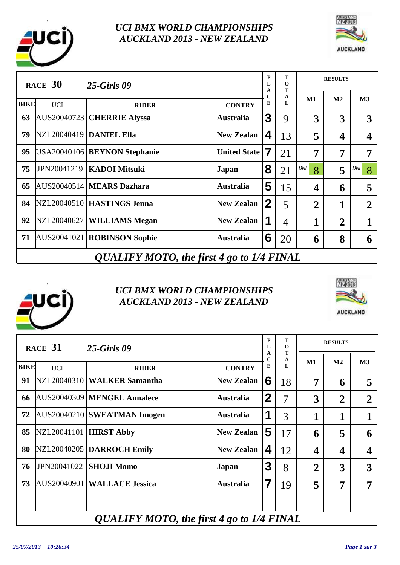



|             | RACE $30$                                 | <b>25-Girls 09</b>             |                     | P<br>L      | т<br>$\mathbf 0$ |                         | <b>RESULTS</b> |                 |  |  |
|-------------|-------------------------------------------|--------------------------------|---------------------|-------------|------------------|-------------------------|----------------|-----------------|--|--|
| <b>BIKE</b> | <b>UCI</b>                                | <b>RIDER</b>                   | <b>CONTRY</b>       | A<br>C<br>E | Т<br>A<br>L      | $M1$                    | M <sub>2</sub> | M3              |  |  |
| 63          |                                           | AUS20040723 CHERRIE Alyssa     | <b>Australia</b>    | 3           | 9                | 3                       | 3              | 3               |  |  |
| 79          |                                           | NZL20040419   DANIEL Ella      | <b>New Zealan</b>   | 4           | 13               | 5                       | 4              | 4               |  |  |
| 95          |                                           | USA20040106   BEYNON Stephanie | <b>United State</b> | 7           | 21               | 7                       | 7              | 7               |  |  |
| 75          | JPN20041219                               | <b>KADOI Mitsuki</b>           | Japan               | 8           | 21               | DNF<br>8                | 5              | <b>DNF</b><br>8 |  |  |
| 65          |                                           | AUS20040514 MEARS Dazhara      | <b>Australia</b>    | 5           | 15               | $\overline{\mathbf{4}}$ | 6              | 5               |  |  |
| 84          |                                           | NZL20040510   HASTINGS Jenna   | <b>New Zealan</b>   | $\mathbf 2$ | 5                | $\overline{2}$          | 1              | $\mathbf{2}$    |  |  |
| 92          |                                           | NZL20040627   WILLIAMS Megan   | <b>New Zealan</b>   | 1           | $\overline{4}$   | 1                       | $\overline{2}$ |                 |  |  |
| 71          |                                           | AUS20041021   ROBINSON Sophie  | <b>Australia</b>    | 6           | 20               | 6                       | 8              | 6               |  |  |
|             | QUALIFY MOTO, the first 4 go to 1/4 FINAL |                                |                     |             |                  |                         |                |                 |  |  |





|             | RACE 31                                   | <b>25-Girls 09</b>            |                   | P<br>L                  | т<br>$\mathbf 0$ |                | <b>RESULTS</b>          |                |  |
|-------------|-------------------------------------------|-------------------------------|-------------------|-------------------------|------------------|----------------|-------------------------|----------------|--|
| <b>BIKE</b> | <b>UCI</b>                                | <b>RIDER</b>                  | <b>CONTRY</b>     | A<br>$\mathbf C$<br>E   | Т<br>A<br>L      | M1             | M <sub>2</sub>          | M3             |  |
| 91          |                                           | NZL20040310   WALKER Samantha | <b>New Zealan</b> | 6                       | 18               | 7              | 6                       | 5              |  |
| 66          |                                           | AUS20040309 MENGEL Annalece   | <b>Australia</b>  | $\mathbf 2$             | $\overline{7}$   | 3              | $\overline{2}$          | $\overline{2}$ |  |
| 72          |                                           | AUS20040210 SWEATMAN Imogen   | <b>Australia</b>  | 1                       | 3                | 1              | 1                       | 1              |  |
| 85          | NZL20041101   HIRST Abby                  |                               | <b>New Zealan</b> | 5                       | 17               | 6              | 5                       | 6              |  |
| 80          |                                           | NZL20040205   DARROCH Emily   | <b>New Zealan</b> | $\overline{\mathbf{4}}$ | 12               | 4              | $\overline{\mathbf{4}}$ | 4              |  |
| 76          | JPN20041022                               | <b>SHOJI Momo</b>             | Japan             | 3                       | 8                | $\overline{2}$ | 3                       | 3              |  |
| 73          |                                           | AUS20040901 WALLACE Jessica   | <b>Australia</b>  | 7                       | 19               | 5              | 7                       | 7              |  |
|             |                                           |                               |                   |                         |                  |                |                         |                |  |
|             | QUALIFY MOTO, the first 4 go to 1/4 FINAL |                               |                   |                         |                  |                |                         |                |  |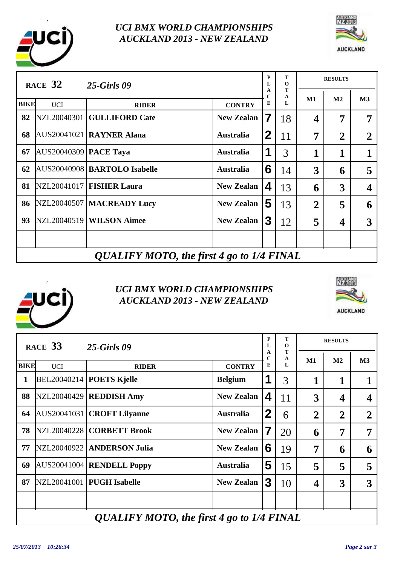



|             | RACE $32$                                 | <b>25-Girls 09</b>             |                   | P<br>L                | т<br>$\mathbf 0$ |                  | <b>RESULTS</b> |                  |  |
|-------------|-------------------------------------------|--------------------------------|-------------------|-----------------------|------------------|------------------|----------------|------------------|--|
| <b>BIKE</b> | <b>UCI</b>                                | <b>RIDER</b>                   | <b>CONTRY</b>     | A<br>$\mathbf C$<br>E | T<br>A<br>L      | M1               | M <sub>2</sub> | M3               |  |
| 82          |                                           | NZL20040301 GULLIFORD Cate     | <b>New Zealan</b> | 7                     | 18               | $\boldsymbol{4}$ | 7              |                  |  |
| 68          |                                           | AUS20041021   RAYNER Alana     | <b>Australia</b>  | 2                     | 11               | 7                | $\overline{2}$ | $\boldsymbol{2}$ |  |
| 67          | AUS20040309   PACE Taya                   |                                | <b>Australia</b>  | 1                     | 3                | 1                | 1              |                  |  |
| 62          |                                           | AUS20040908   BARTOLO Isabelle | <b>Australia</b>  | 6                     | 14               | 3                | 6              | 5                |  |
| 81          |                                           | NZL20041017   FISHER Laura     | <b>New Zealan</b> | 4                     | 13               | 6                | 3              | 4                |  |
| 86          |                                           | NZL20040507   MACREADY Lucy    | <b>New Zealan</b> | 5                     | 13               | $\overline{2}$   | 5              | 6                |  |
| 93          |                                           | NZL20040519   WILSON Aimee     | <b>New Zealan</b> | 3                     | 12               | 5                | 4              | 3                |  |
|             |                                           |                                |                   |                       |                  |                  |                |                  |  |
|             | QUALIFY MOTO, the first 4 go to 1/4 FINAL |                                |                   |                       |                  |                  |                |                  |  |

# *QUALIFY MOTO, the first 4 go to 1/4 FINAL*





|             | RACE 33                                   | <b>25-Girls 09</b>                |                   | P<br>L                | т<br>$\mathbf 0$ |                | <b>RESULTS</b> |                |  |
|-------------|-------------------------------------------|-----------------------------------|-------------------|-----------------------|------------------|----------------|----------------|----------------|--|
| <b>BIKE</b> | <b>UCI</b>                                | <b>RIDER</b>                      | <b>CONTRY</b>     | A<br>$\mathbf C$<br>E | T<br>A<br>L      | M1             | M <sub>2</sub> | M3             |  |
| 1           |                                           | $BEL20040214$ <b>POETS Kjelle</b> | <b>Belgium</b>    | 1                     | 3                | 1              | 1              |                |  |
| 88          |                                           | NZL20040429   REDDISH Amy         | <b>New Zealan</b> | 4                     | 11               | 3              | 4              | 4              |  |
| 64          |                                           | AUS20041031   CROFT Lilyanne      | <b>Australia</b>  | $\mathbf 2$           | 6                | $\overline{2}$ | $\overline{2}$ | $\overline{2}$ |  |
| 78          |                                           | NZL20040228   CORBETT Brook       | <b>New Zealan</b> | 7                     | 20               | 6              | 7              | 7              |  |
| 77          |                                           | NZL20040922   ANDERSON Julia      | <b>New Zealan</b> | 6                     | 19               | 7              | 6              | 6              |  |
| 69          |                                           | AUS20041004 RENDELL Poppy         | <b>Australia</b>  | 5                     | 15               | 5              | 5              | 5              |  |
| 87          |                                           | NZL20041001   PUGH Isabelle       | <b>New Zealan</b> | 3                     | 10               | 4              | 3              | 3              |  |
|             |                                           |                                   |                   |                       |                  |                |                |                |  |
|             | QUALIFY MOTO, the first 4 go to 1/4 FINAL |                                   |                   |                       |                  |                |                |                |  |